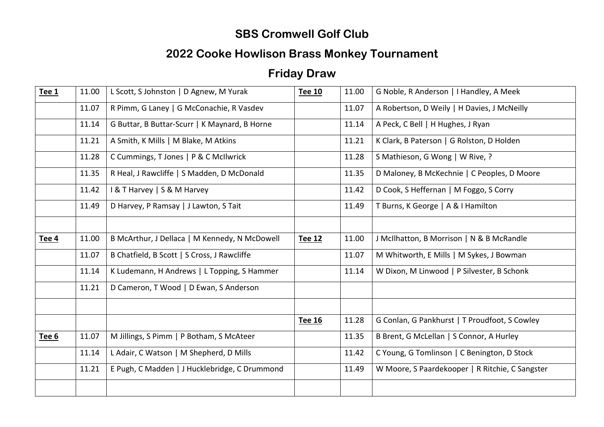### **SBS Cromwell Golf Club**

# **2022 Cooke Howlison Brass Monkey Tournament**

# **Friday Draw**

| Tee 1 | 11.00 | L Scott, S Johnston   D Agnew, M Yurak        | <b>Tee 10</b> | 11.00 | G Noble, R Anderson   I Handley, A Meek         |
|-------|-------|-----------------------------------------------|---------------|-------|-------------------------------------------------|
|       | 11.07 | R Pimm, G Laney   G McConachie, R Vasdev      |               | 11.07 | A Robertson, D Weily   H Davies, J McNeilly     |
|       | 11.14 | G Buttar, B Buttar-Scurr   K Maynard, B Horne |               | 11.14 | A Peck, C Bell   H Hughes, J Ryan               |
|       | 11.21 | A Smith, K Mills   M Blake, M Atkins          |               | 11.21 | K Clark, B Paterson   G Rolston, D Holden       |
|       | 11.28 | C Cummings, T Jones   P & C McIlwrick         |               | 11.28 | S Mathieson, G Wong   W Rive, ?                 |
|       | 11.35 | R Heal, J Rawcliffe   S Madden, D McDonald    |               | 11.35 | D Maloney, B McKechnie   C Peoples, D Moore     |
|       | 11.42 | <b>B</b> T Harvey   S & M Harvey              |               | 11.42 | D Cook, S Heffernan   M Foggo, S Corry          |
|       | 11.49 | D Harvey, P Ramsay   J Lawton, S Tait         |               | 11.49 | T Burns, K George   A & I Hamilton              |
|       |       |                                               |               |       |                                                 |
| Tee 4 | 11.00 | B McArthur, J Dellaca   M Kennedy, N McDowell | Tee 12        | 11.00 | J McIlhatton, B Morrison   N & B McRandle       |
|       | 11.07 | B Chatfield, B Scott   S Cross, J Rawcliffe   |               | 11.07 | M Whitworth, E Mills   M Sykes, J Bowman        |
|       | 11.14 | K Ludemann, H Andrews   L Topping, S Hammer   |               | 11.14 | W Dixon, M Linwood   P Silvester, B Schonk      |
|       | 11.21 | D Cameron, T Wood   D Ewan, S Anderson        |               |       |                                                 |
|       |       |                                               |               |       |                                                 |
|       |       |                                               | Tee 16        | 11.28 | G Conlan, G Pankhurst   T Proudfoot, S Cowley   |
| Tee 6 | 11.07 | M Jillings, S Pimm   P Botham, S McAteer      |               | 11.35 | B Brent, G McLellan   S Connor, A Hurley        |
|       | 11.14 | L Adair, C Watson   M Shepherd, D Mills       |               | 11.42 | C Young, G Tomlinson   C Benington, D Stock     |
|       | 11.21 | E Pugh, C Madden   J Hucklebridge, C Drummond |               | 11.49 | W Moore, S Paardekooper   R Ritchie, C Sangster |
|       |       |                                               |               |       |                                                 |